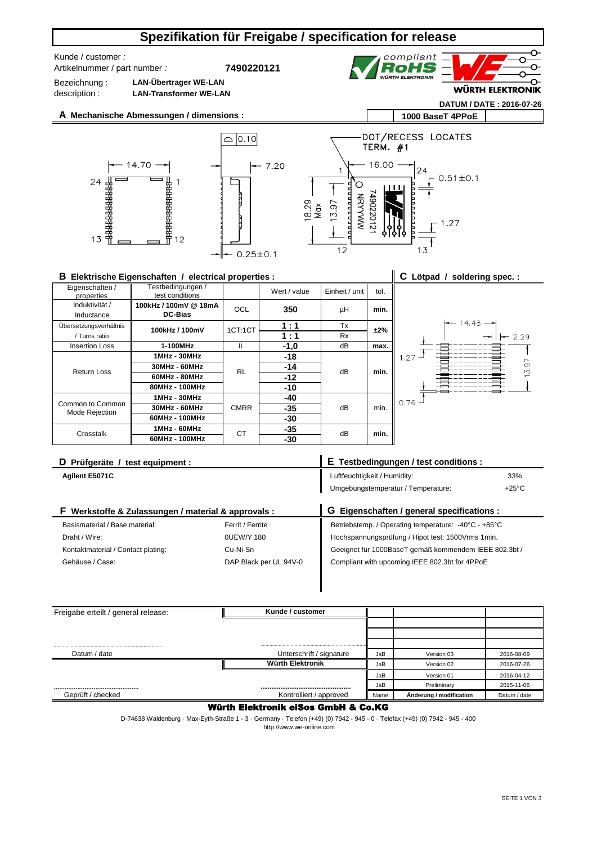# **Spezifikation für Freigabe / specification for release**

Artikelnummer / part number *:* Kunde / customer *:* 

**7490220121**



**DATUM / DATE : 2016-07-26**

Bezeichnung : description :

**LAN-Übertrager WE-LAN LAN-Transformer WE-LAN**







### **B Elektrische Eigenschaften / electrical properties :**

| B Elektrische Eigenschaften / electrical properties : |                                         |             |              |                |      | C Lötpad / soldering spec.: |  |
|-------------------------------------------------------|-----------------------------------------|-------------|--------------|----------------|------|-----------------------------|--|
| Eigenschaften /<br>properties                         | Festbedingungen /<br>test conditions    |             | Wert / value | Einheit / unit | tol. |                             |  |
| Induktivität /<br>Inductance                          | 100kHz / 100mV @ 18mA<br><b>DC-Bias</b> | OCL         | 350          | μH             | min. |                             |  |
| Übersetzungsverhältnis                                |                                         |             | 1:1          | Tx             |      | 14.48                       |  |
| / Turns ratio                                         | 100kHz / 100mV                          | 1CT:1CT     | 1:1          | <b>Rx</b>      | ±2%  | $-2.29$                     |  |
| <b>Insertion Loss</b>                                 | 1-100MHz                                | IL.         | $-1,0$       | dB             | max. |                             |  |
| Return Loss                                           | 1MHz - 30MHz                            | <b>RL</b>   | $-18$        |                |      | 1.27<br>3.97                |  |
|                                                       | 30MHz - 60MHz                           |             | $-14$        | dB             | min. |                             |  |
|                                                       | 60MHz - 80MHz                           |             | $-12$        |                |      |                             |  |
|                                                       | 80MHz - 100MHz                          |             | $-10$        |                |      |                             |  |
| Common to Common<br>Mode Rejection                    | 1MHz - 30MHz                            | <b>CMRR</b> | $-40$        | dB             | min. | 0.76                        |  |
|                                                       | 30MHz - 60MHz                           |             | $-35$        |                |      |                             |  |
|                                                       | 60MHz - 100MHz                          |             | -30          |                |      |                             |  |
| Crosstalk                                             | 1MHz - 60MHz                            | <b>CT</b>   | $-35$        | dB             | min. |                             |  |
|                                                       | 60MHz - 100MHz                          |             | $-30$        |                |      |                             |  |

| D Prüfgeräte / test equipment :                         |                  | E Testbedingungen / test conditions :                |                 |  |  |
|---------------------------------------------------------|------------------|------------------------------------------------------|-----------------|--|--|
| Agilent E5071C                                          |                  | Luftfeuchtigkeit / Humidity:                         | 33%             |  |  |
|                                                         |                  | Umgebungstemperatur / Temperature:                   | $+25^{\circ}$ C |  |  |
| Werkstoffe & Zulassungen / material & approvals :<br>F. |                  | G Eigenschaften / general specifications :           |                 |  |  |
| Basismaterial / Base material:                          | Ferrit / Ferrite | Betriebstemp. / Operating temperature: -40°C - +85°C |                 |  |  |
|                                                         |                  |                                                      |                 |  |  |

| Draht / Wire:                      | 0UEW/Y 180             | Hochspannungsprüfung / Hipot test: 1500Vrms 1min.     |
|------------------------------------|------------------------|-------------------------------------------------------|
| Kontaktmaterial / Contact plating: | Cu-Ni-Sn               | Geeignet für 1000BaseT gemäß kommendem IEEE 802.3bt / |
| Gehäuse / Case:                    | DAP Black per UL 94V-0 | Compliant with upcoming IEEE 802.3bt for 4PPoE        |
|                                    |                        |                                                       |
|                                    |                        |                                                       |

| Kunde / customer         |      |                         |              |
|--------------------------|------|-------------------------|--------------|
|                          |      |                         |              |
|                          |      |                         |              |
|                          |      |                         |              |
| Unterschrift / signature | JaB  | Version 03              | 2016-08-09   |
| Würth Elektronik         | JaB  | Version 02              | 2016-07-26   |
|                          | JaB  | Version 01              | 2016-04-12   |
|                          | JaB  | Preliminary             | 2015-11-06   |
| Kontrolliert / approved  | Name | Änderung / modification | Datum / date |
|                          |      |                         |              |

### Würth Elektronik eiSos GmbH & Co.KG

 http://www.we-online.com D-74638 Waldenburg · Max-Eyth-Straße 1 - 3 · Germany · Telefon (+49) (0) 7942 - 945 - 0 · Telefax (+49) (0) 7942 - 945 - 400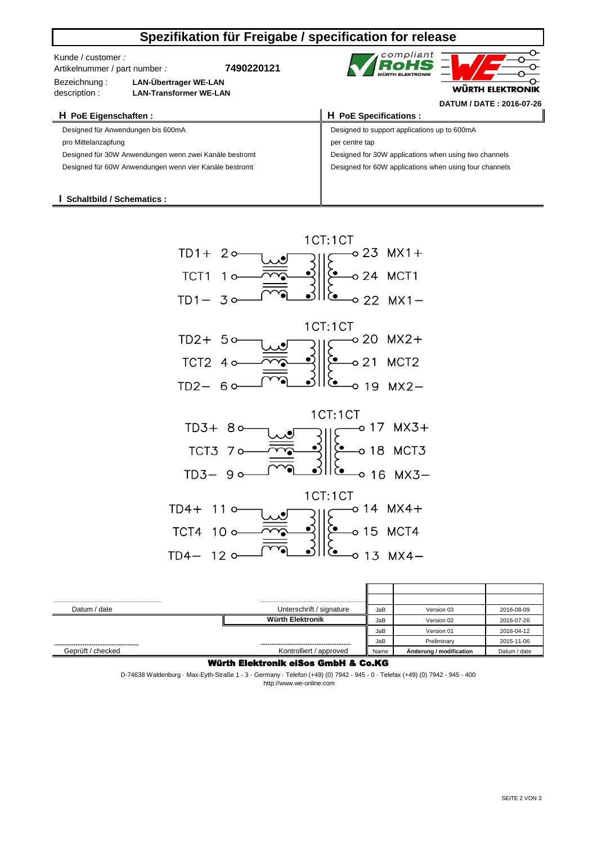| Spezifikation für Freigabe / specification for release                                              |                               |                                              |                                                        |                                                       |  |  |  |  |
|-----------------------------------------------------------------------------------------------------|-------------------------------|----------------------------------------------|--------------------------------------------------------|-------------------------------------------------------|--|--|--|--|
| Kunde / customer :<br>Artikelnummer / part number :<br><b>LAN-Übertrager WE-LAN</b><br>Bezeichnung: |                               | 7490220121                                   | compliant<br>RoHS                                      | WÜRTH ELEKTRONIK                                      |  |  |  |  |
| description:                                                                                        | <b>LAN-Transformer WE-LAN</b> |                                              |                                                        |                                                       |  |  |  |  |
|                                                                                                     |                               |                                              |                                                        | DATUM / DATE: 2016-07-26                              |  |  |  |  |
| H PoE Eigenschaften :                                                                               |                               |                                              | H PoE Specifications :                                 |                                                       |  |  |  |  |
| Designed für Anwendungen bis 600mA                                                                  |                               | Designed to support applications up to 600mA |                                                        |                                                       |  |  |  |  |
| pro Mittelanzapfung                                                                                 |                               |                                              | per centre tap                                         |                                                       |  |  |  |  |
| Designed für 30W Anwendungen wenn zwei Kanäle bestromt                                              |                               |                                              |                                                        | Designed for 30W applications when using two channels |  |  |  |  |
| Designed für 60W Anwendungen wenn vier Kanäle bestromt                                              |                               |                                              | Designed for 60W applications when using four channels |                                                       |  |  |  |  |
|                                                                                                     |                               |                                              |                                                        |                                                       |  |  |  |  |
|                                                                                                     |                               |                                              |                                                        |                                                       |  |  |  |  |
| Schaltbild / Schematics:                                                                            |                               |                                              |                                                        |                                                       |  |  |  |  |



| Datum / date      | Unterschrift / signature | JaB  | Version 03              | 2016-08-09   |
|-------------------|--------------------------|------|-------------------------|--------------|
|                   | Würth Elektronik         | JaB  | Version 02              | 2016-07-26   |
|                   |                          | JaB  | Version 01              | 2016-04-12   |
|                   |                          | JaB  | Preliminary             | 2015-11-06   |
| Geprüft / checked | Kontrolliert / approved  | Name | Anderung / modification | Datum / date |

### Würth Elektronik eiSos GmbH & Co.KG

D-74638 Waldenburg · Max-Eyth-Straße 1 - 3 · Germany · Telefon (+49) (0) 7942 - 945 - 0 · Telefax (+49) (0) 7942 - 945 - 400 http://www.we-online.com